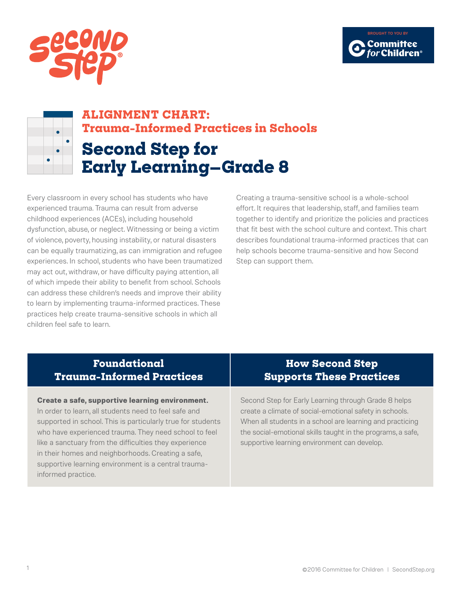



# **ALIGNMENT CHART: Trauma-Informed Practices in Schools Second Step for**

**Early Learning—Grade 8**

Every classroom in every school has students who have experienced trauma. Trauma can result from adverse childhood experiences (ACEs), including household dysfunction, abuse, or neglect. Witnessing or being a victim of violence, poverty, housing instability, or natural disasters can be equally traumatizing, as can immigration and refugee experiences. In school, students who have been traumatized may act out, withdraw, or have difficulty paying attention, all of which impede their ability to benefit from school. Schools can address these children's needs and improve their ability to learn by implementing trauma-informed practices. These practices help create trauma-sensitive schools in which all children feel safe to learn.

Creating a trauma-sensitive school is a whole-school effort. It requires that leadership, staff, and families team together to identify and prioritize the policies and practices that fit best with the school culture and context. This chart describes foundational trauma-informed practices that can help schools become trauma-sensitive and how Second Step can support them.

### **Foundational Trauma-Informed Practices**

#### **Create a safe, supportive learning environment.**

In order to learn, all students need to feel safe and supported in school. This is particularly true for students who have experienced trauma. They need school to feel like a sanctuary from the difficulties they experience in their homes and neighborhoods. Creating a safe, supportive learning environment is a central traumainformed practice.

### **How Second Step Supports These Practices**

Second Step for Early Learning through Grade 8 helps create a climate of social-emotional safety in schools. When all students in a school are learning and practicing the social-emotional skills taught in the programs, a safe, supportive learning environment can develop.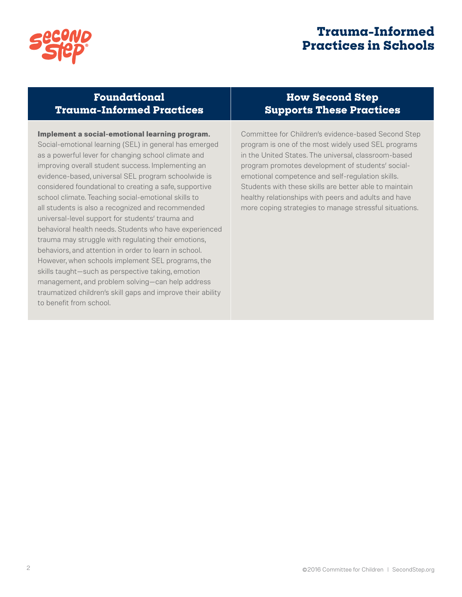

## **Trauma-Informed Practices in Schools**

### **Foundational Trauma-Informed Practices**

**Implement a social-emotional learning program.** Social-emotional learning (SEL) in general has emerged as a powerful lever for changing school climate and improving overall student success. Implementing an evidence-based, universal SEL program schoolwide is considered foundational to creating a safe, supportive school climate. Teaching social-emotional skills to all students is also a recognized and recommended universal-level support for students' trauma and behavioral health needs. Students who have experienced trauma may struggle with regulating their emotions, behaviors, and attention in order to learn in school. However, when schools implement SEL programs, the skills taught—such as perspective taking, emotion management, and problem solving—can help address traumatized children's skill gaps and improve their ability to benefit from school.

### **How Second Step Supports These Practices**

Committee for Children's evidence-based Second Step program is one of the most widely used SEL programs in the United States. The universal, classroom-based program promotes development of students' socialemotional competence and self-regulation skills. Students with these skills are better able to maintain healthy relationships with peers and adults and have more coping strategies to manage stressful situations.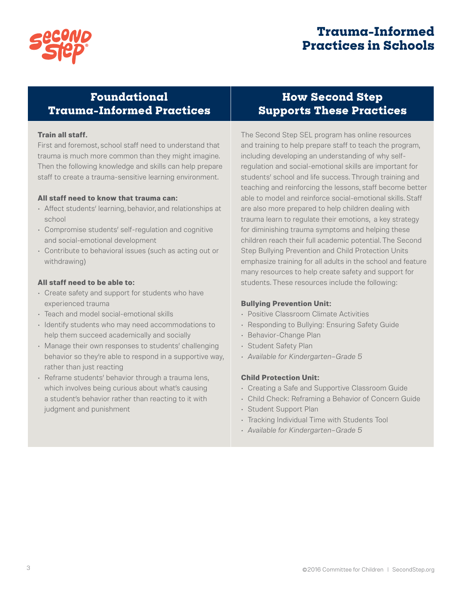

## **Trauma-Informed Practices in Schools**

### **Foundational Trauma-Informed Practices**

### **Train all staff.**

First and foremost, school staff need to understand that trauma is much more common than they might imagine. Then the following knowledge and skills can help prepare staff to create a trauma-sensitive learning environment.

#### **All staff need to know that trauma can:**

- Affect students' learning, behavior, and relationships at school
- Compromise students' self-regulation and cognitive and social-emotional development
- Contribute to behavioral issues (such as acting out or withdrawing)

#### **All staff need to be able to:**

- Create safety and support for students who have experienced trauma
- Teach and model social-emotional skills
- Identify students who may need accommodations to help them succeed academically and socially
- Manage their own responses to students' challenging behavior so they're able to respond in a supportive way, rather than just reacting
- Reframe students' behavior through a trauma lens, which involves being curious about what's causing a student's behavior rather than reacting to it with judgment and punishment

### **How Second Step Supports These Practices**

The Second Step SEL program has online resources and training to help prepare staff to teach the program, including developing an understanding of why selfregulation and social-emotional skills are important for students' school and life success. Through training and teaching and reinforcing the lessons, staff become better able to model and reinforce social-emotional skills. Staff are also more prepared to help children dealing with trauma learn to regulate their emotions, a key strategy for diminishing trauma symptoms and helping these children reach their full academic potential. The Second Step Bullying Prevention and Child Protection Units emphasize training for all adults in the school and feature many resources to help create safety and support for students. These resources include the following:

### **Bullying Prevention Unit:**

- Positive Classroom Climate Activities
- Responding to Bullying: Ensuring Safety Guide
- Behavior-Change Plan
- Student Safety Plan
- *• Available for Kindergarten–Grade 5*

### **Child Protection Unit:**

- Creating a Safe and Supportive Classroom Guide
- Child Check: Reframing a Behavior of Concern Guide
- Student Support Plan
- Tracking Individual Time with Students Tool
- *• Available for Kindergarten–Grade 5*